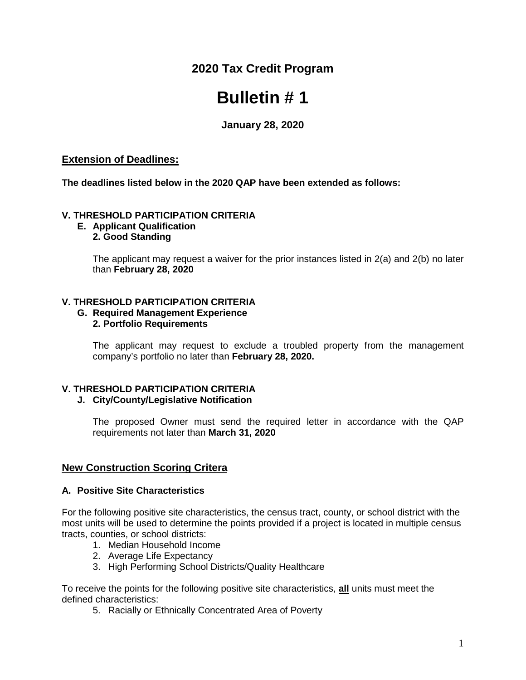**2020 Tax Credit Program**

# **Bulletin # 1**

**January 28, 2020**

# **Extension of Deadlines:**

**The deadlines listed below in the 2020 QAP have been extended as follows:**

## **V. THRESHOLD PARTICIPATION CRITERIA**

**E. Applicant Qualification 2. Good Standing**

> The applicant may request a waiver for the prior instances listed in 2(a) and 2(b) no later than **February 28, 2020**

## **V. THRESHOLD PARTICIPATION CRITERIA**

#### **G. Required Management Experience 2. Portfolio Requirements**

The applicant may request to exclude a troubled property from the management company's portfolio no later than **February 28, 2020.**

# **V. THRESHOLD PARTICIPATION CRITERIA**

# **J. City/County/Legislative Notification**

The proposed Owner must send the required letter in accordance with the QAP requirements not later than **March 31, 2020**

# **New Construction Scoring Critera**

#### **A. Positive Site Characteristics**

For the following positive site characteristics, the census tract, county, or school district with the most units will be used to determine the points provided if a project is located in multiple census tracts, counties, or school districts:

- 1. Median Household Income
- 2. Average Life Expectancy
- 3. High Performing School Districts/Quality Healthcare

To receive the points for the following positive site characteristics, **all** units must meet the defined characteristics:

5. Racially or Ethnically Concentrated Area of Poverty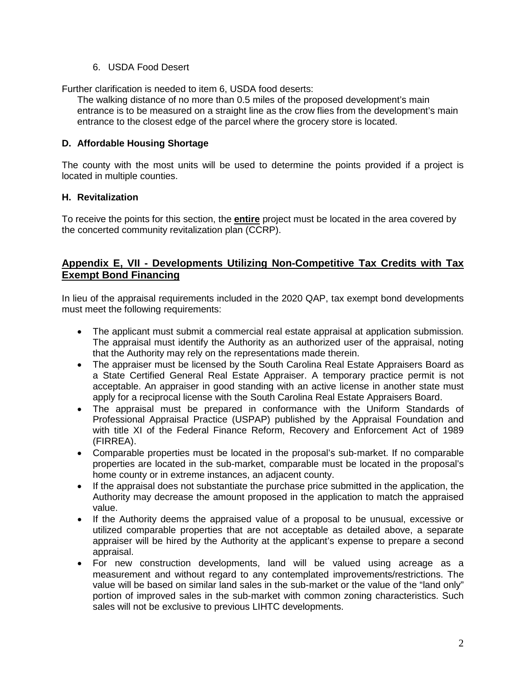## 6. USDA Food Desert

Further clarification is needed to item 6, USDA food deserts:

The walking distance of no more than 0.5 miles of the proposed development's main entrance is to be measured on a straight line as the crow flies from the development's main entrance to the closest edge of the parcel where the grocery store is located.

## **D. Affordable Housing Shortage**

The county with the most units will be used to determine the points provided if a project is located in multiple counties.

## **H. Revitalization**

To receive the points for this section, the **entire** project must be located in the area covered by the concerted community revitalization plan (CCRP).

# **Appendix E, VII - Developments Utilizing Non-Competitive Tax Credits with Tax Exempt Bond Financing**

In lieu of the appraisal requirements included in the 2020 QAP, tax exempt bond developments must meet the following requirements:

- The applicant must submit a commercial real estate appraisal at application submission. The appraisal must identify the Authority as an authorized user of the appraisal, noting that the Authority may rely on the representations made therein.
- The appraiser must be licensed by the South Carolina Real Estate Appraisers Board as a State Certified General Real Estate Appraiser. A temporary practice permit is not acceptable. An appraiser in good standing with an active license in another state must apply for a reciprocal license with the South Carolina Real Estate Appraisers Board.
- The appraisal must be prepared in conformance with the Uniform Standards of Professional Appraisal Practice (USPAP) published by the Appraisal Foundation and with title XI of the Federal Finance Reform, Recovery and Enforcement Act of 1989 (FIRREA).
- Comparable properties must be located in the proposal's sub-market. If no comparable properties are located in the sub-market, comparable must be located in the proposal's home county or in extreme instances, an adjacent county.
- If the appraisal does not substantiate the purchase price submitted in the application, the Authority may decrease the amount proposed in the application to match the appraised value.
- If the Authority deems the appraised value of a proposal to be unusual, excessive or utilized comparable properties that are not acceptable as detailed above, a separate appraiser will be hired by the Authority at the applicant's expense to prepare a second appraisal.
- For new construction developments, land will be valued using acreage as a measurement and without regard to any contemplated improvements/restrictions. The value will be based on similar land sales in the sub-market or the value of the "land only" portion of improved sales in the sub-market with common zoning characteristics. Such sales will not be exclusive to previous LIHTC developments.